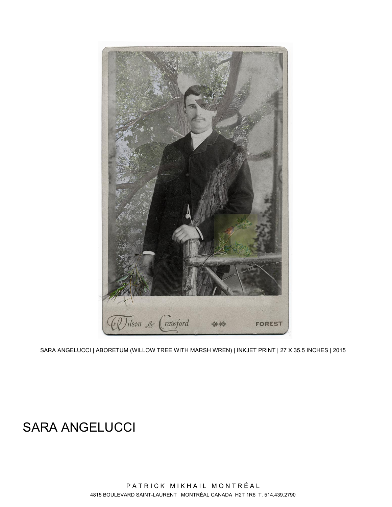

SARA ANGELUCCI | ABORETUM (WILLOW TREE WITH MARSH WREN) | INKJET PRINT | 27 X 35.5 INCHES | 2015

# SARA ANGELUCCI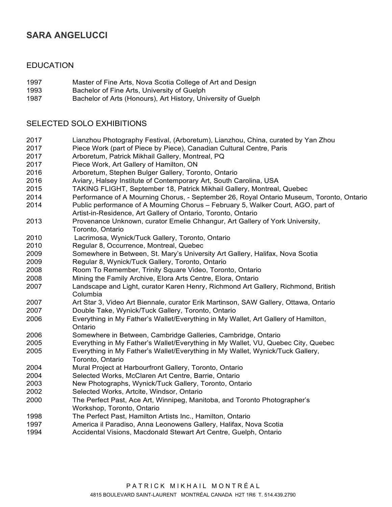# **SARA ANGELUCCI**

#### EDUCATION

- 1997 Master of Fine Arts, Nova Scotia College of Art and Design
- 1993 Bachelor of Fine Arts, University of Guelph
- 1987 Bachelor of Arts (Honours), Art History, University of Guelph

### SELECTED SOLO EXHIBITIONS

- 2017 Lianzhou Photography Festival, (Arboretum), Lianzhou, China, curated by Yan Zhou
- 2017 Piece Work (part of Piece by Piece), Canadian Cultural Centre, Paris
- 2017 Arboretum, Patrick Mikhail Gallery, Montreal, PQ
- 2017 Piece Work, Art Gallery of Hamilton, ON
- 2016 Arboretum, Stephen Bulger Gallery, Toronto, Ontario
- 2016 Aviary, Halsey Institute of Contemporary Art, South Carolina, USA
- 2015 TAKING FLIGHT, September 18, Patrick Mikhail Gallery, Montreal, Quebec
- 2014 Performance of A Mourning Chorus, September 26, Royal Ontario Museum, Toronto, Ontario
- 2014 Public performance of A Mourning Chorus February 5, Walker Court, AGO, part of Artist-in-Residence, Art Gallery of Ontario, Toronto, Ontario
- 2013 Provenance Unknown, curator Emelie Chhangur, Art Gallery of York University, Toronto, Ontario
- 2010 Lacrimosa, Wynick/Tuck Gallery, Toronto, Ontario
- 2010 Regular 8, Occurrence, Montreal, Quebec
- 2009 Somewhere in Between, St. Mary's University Art Gallery, Halifax, Nova Scotia
- 2009 Regular 8, Wynick/Tuck Gallery, Toronto, Ontario
- 2008 Room To Remember, Trinity Square Video, Toronto, Ontario
- 2008 Mining the Family Archive, Elora Arts Centre, Elora, Ontario
- 2007 Landscape and Light, curator Karen Henry, Richmond Art Gallery, Richmond, British Columbia
- 2007 Art Star 3, Video Art Biennale, curator Erik Martinson, SAW Gallery, Ottawa, Ontario
- 2007 Double Take, Wynick/Tuck Gallery, Toronto, Ontario
- 2006 Everything in My Father's Wallet/Everything in My Wallet, Art Gallery of Hamilton, Ontario
- 2006 Somewhere in Between, Cambridge Galleries, Cambridge, Ontario
- 2005 Everything in My Father's Wallet/Everything in My Wallet, VU, Quebec City, Quebec
- 2005 Everything in My Father's Wallet/Everything in My Wallet, Wynick/Tuck Gallery, Toronto, Ontario
- 2004 Mural Project at Harbourfront Gallery, Toronto, Ontario
- 2004 Selected Works, McClaren Art Centre, Barrie, Ontario
- 2003 New Photographs, Wynick/Tuck Gallery, Toronto, Ontario
- 2002 Selected Works, Artcite, Windsor, Ontario
- 2000 The Perfect Past, Ace Art, Winnipeg, Manitoba, and Toronto Photographer's Workshop, Toronto, Ontario
- 1998 The Perfect Past, Hamilton Artists Inc., Hamilton, Ontario
- 1997 America il Paradiso, Anna Leonowens Gallery, Halifax, Nova Scotia
- 1994 Accidental Visions, Macdonald Stewart Art Centre, Guelph, Ontario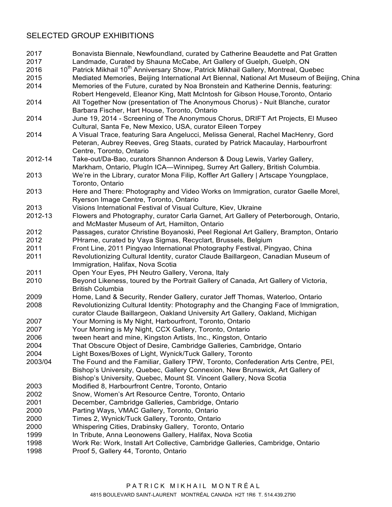## SELECTED GROUP EXHIBITIONS

| 2017    | Bonavista Biennale, Newfoundland, curated by Catherine Beaudette and Pat Gratten                                                                                                               |
|---------|------------------------------------------------------------------------------------------------------------------------------------------------------------------------------------------------|
| 2017    | Landmade, Curated by Shauna McCabe, Art Gallery of Guelph, Guelph, ON                                                                                                                          |
| 2016    | Patrick Mikhail 10 <sup>th</sup> Anniversary Show, Patrick Mikhail Gallery, Montreal, Quebec                                                                                                   |
| 2015    | Mediated Memories, Beijing International Art Biennal, National Art Museum of Beijing, China                                                                                                    |
| 2014    | Memories of the Future, curated by Noa Bronstein and Katherine Dennis, featuring:<br>Robert Hengeveld, Eleanor King, Matt McIntosh for Gibson House, Toronto, Ontario                          |
| 2014    | All Together Now (presentation of The Anonymous Chorus) - Nuit Blanche, curator<br>Barbara Fischer, Hart House, Toronto, Ontario                                                               |
| 2014    | June 19, 2014 - Screening of The Anonymous Chorus, DRIFT Art Projects, El Museo<br>Cultural, Santa Fe, New Mexico, USA, curator Eileen Torpey                                                  |
| 2014    | A Visual Trace, featuring Sara Angelucci, Melissa General, Rachel MacHenry, Gord<br>Peteran, Aubrey Reeves, Greg Staats, curated by Patrick Macaulay, Harbourfront<br>Centre, Toronto, Ontario |
| 2012-14 | Take-out/Da-Bao, curators Shannon Anderson & Doug Lewis, Varley Gallery,<br>Markham, Ontario, PlugIn ICA-Winnipeg, Surrey Art Gallery, British Columbia.                                       |
| 2013    | We're in the Library, curator Mona Filip, Koffler Art Gallery   Artscape Youngplace,<br>Toronto, Ontario                                                                                       |
| 2013    | Here and There: Photography and Video Works on Immigration, curator Gaelle Morel,<br>Ryerson Image Centre, Toronto, Ontario                                                                    |
| 2013    | Visions International Festival of Visual Culture, Kiev, Ukraine                                                                                                                                |
| 2012-13 | Flowers and Photography, curator Carla Garnet, Art Gallery of Peterborough, Ontario,<br>and McMaster Museum of Art, Hamilton, Ontario                                                          |
| 2012    | Passages, curator Christine Boyanoski, Peel Regional Art Gallery, Brampton, Ontario                                                                                                            |
| 2012    | PHrame, curated by Vaya Sigmas, Recyclart, Brussels, Belgium                                                                                                                                   |
| 2011    | Front Line, 2011 Pingyao International Photography Festival, Pingyao, China                                                                                                                    |
| 2011    | Revolutionizing Cultural Identity, curator Claude Baillargeon, Canadian Museum of<br>Immigration, Halifax, Nova Scotia                                                                         |
| 2011    | Open Your Eyes, PH Neutro Gallery, Verona, Italy                                                                                                                                               |
| 2010    | Beyond Likeness, toured by the Portrait Gallery of Canada, Art Gallery of Victoria,<br><b>British Columbia</b>                                                                                 |
| 2009    | Home, Land & Security, Render Gallery, curator Jeff Thomas, Waterloo, Ontario                                                                                                                  |
| 2008    | Revolutionizing Cultural Identity: Photography and the Changing Face of Immigration,<br>curator Claude Baillargeon, Oakland University Art Gallery, Oakland, Michigan                          |
| 2007    | Your Morning is My Night, Harbourfront, Toronto, Ontario                                                                                                                                       |
| 2007    | Your Morning is My Night, CCX Gallery, Toronto, Ontario                                                                                                                                        |
| 2006    | tween heart and mine, Kingston Artists, Inc., Kingston, Ontario                                                                                                                                |
| 2004    | That Obscure Object of Desire, Cambridge Galleries, Cambridge, Ontario                                                                                                                         |
| 2004    | Light Boxes/Boxes of Light, Wynick/Tuck Gallery, Toronto                                                                                                                                       |
| 2003/04 | The Found and the Familiar, Gallery TPW, Toronto, Confederation Arts Centre, PEI,<br>Bishop's University, Quebec, Gallery Connexion, New Brunswick, Art Gallery of                             |
|         | Bishop's University, Quebec, Mount St. Vincent Gallery, Nova Scotia                                                                                                                            |
| 2003    | Modified 8, Harbourfront Centre, Toronto, Ontario                                                                                                                                              |
| 2002    | Snow, Women's Art Resource Centre, Toronto, Ontario                                                                                                                                            |
| 2001    | December, Cambridge Galleries, Cambridge, Ontario                                                                                                                                              |
| 2000    | Parting Ways, VMAC Gallery, Toronto, Ontario                                                                                                                                                   |
| 2000    | Times 2, Wynick/Tuck Gallery, Toronto, Ontario                                                                                                                                                 |
| 2000    | Whispering Cities, Drabinsky Gallery, Toronto, Ontario                                                                                                                                         |
| 1999    | In Tribute, Anna Leonowens Gallery, Halifax, Nova Scotia                                                                                                                                       |
| 1998    | Work Re: Work, Install Art Collective, Cambridge Galleries, Cambridge, Ontario                                                                                                                 |
| 1998    | Proof 5, Gallery 44, Toronto, Ontario                                                                                                                                                          |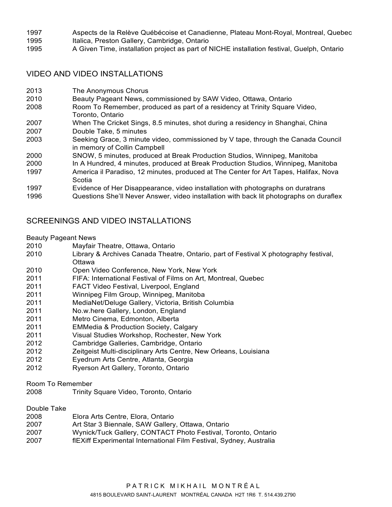- 1997 Aspects de la Relève Québécoise et Canadienne, Plateau Mont-Royal, Montreal, Quebec
- 1995 Italica, Preston Gallery, Cambridge, Ontario
- 1995 A Given Time, installation project as part of NICHE installation festival, Guelph, Ontario

## VIDEO AND VIDEO INSTALLATIONS

- 2013 The Anonymous Chorus
- 2010 Beauty Pageant News, commissioned by SAW Video, Ottawa, Ontario
- 2008 Room To Remember, produced as part of a residency at Trinity Square Video, Toronto, Ontario
- 2007 When The Cricket Sings, 8.5 minutes, shot during a residency in Shanghai, China 2007 Double Take, 5 minutes
- 2003 Seeking Grace, 3 minute video, commissioned by V tape, through the Canada Council in memory of Collin Campbell
- 2000 SNOW, 5 minutes, produced at Break Production Studios, Winnipeg, Manitoba
- 2000 In A Hundred, 4 minutes, produced at Break Production Studios, Winnipeg, Manitoba
- 1997 America il Paradiso, 12 minutes, produced at The Center for Art Tapes, Halifax, Nova Scotia
- 1997 Evidence of Her Disappearance, video installation with photographs on duratrans
- 1996 Questions She'll Never Answer, video installation with back lit photographs on duraflex

## SCREENINGS AND VIDEO INSTALLATIONS

#### Beauty Pageant News

- 2010 Mayfair Theatre, Ottawa, Ontario
- 2010 Library & Archives Canada Theatre, Ontario, part of Festival X photography festival, **Ottawa**
- 2010 Open Video Conference, New York, New York
- 2011 FIFA: International Festival of Films on Art, Montreal, Quebec
- 2011 FACT Video Festival, Liverpool, England
- 2011 Winnipeg Film Group, Winnipeg, Manitoba
- 2011 MediaNet/Deluge Gallery, Victoria, British Columbia
- 2011 No.w.here Gallery, London, England
- 2011 Metro Cinema, Edmonton, Alberta
- 2011 EMMedia & Production Society, Calgary
- 2011 Visual Studies Workshop, Rochester, New York
- 2012 Cambridge Galleries, Cambridge, Ontario
- 2012 Zeitgeist Multi-disciplinary Arts Centre, New Orleans, Louisiana
- 2012 Eyedrum Arts Centre, Atlanta, Georgia
- 2012 Ryerson Art Gallery, Toronto, Ontario
- Room To Remember
- 2008 Trinity Square Video, Toronto, Ontario

#### Double Take

- 2008 Elora Arts Centre, Elora, Ontario
- 2007 Art Star 3 Biennale, SAW Gallery, Ottawa, Ontario
- 2007 Wynick/Tuck Gallery, CONTACT Photo Festival, Toronto, Ontario
- 2007 flEXiff Experimental International Film Festival, Sydney, Australia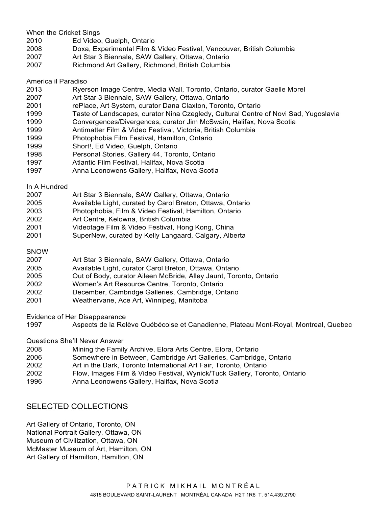When the Cricket Sings

- 2010 Ed Video, Guelph, Ontario
- 2008 Doxa, Experimental Film & Video Festival, Vancouver, British Columbia
- 2007 Art Star 3 Biennale, SAW Gallery, Ottawa, Ontario
- 2007 Richmond Art Gallery, Richmond, British Columbia

#### America il Paradiso

- 2013 Ryerson Image Centre, Media Wall, Toronto, Ontario, curator Gaelle Morel
- 2007 Art Star 3 Biennale, SAW Gallery, Ottawa, Ontario
- 2001 rePlace, Art System, curator Dana Claxton, Toronto, Ontario
- 1999 Taste of Landscapes, curator Nina Czegledy, Cultural Centre of Novi Sad, Yugoslavia
- 1999 Convergences/Divergences, curator Jim McSwain, Halifax, Nova Scotia
- 1999 Antimatter Film & Video Festival, Victoria, British Columbia
- 1999 Photophobia Film Festival, Hamilton, Ontario
- 1999 Short!, Ed Video, Guelph, Ontario
- 1998 Personal Stories, Gallery 44, Toronto, Ontario
- 1997 Atlantic Film Festival, Halifax, Nova Scotia
- 1997 Anna Leonowens Gallery, Halifax, Nova Scotia

#### In A Hundred

- 2007 Art Star 3 Biennale, SAW Gallery, Ottawa, Ontario
- 2005 Available Light, curated by Carol Breton, Ottawa, Ontario
- 2003 Photophobia, Film & Video Festival, Hamilton, Ontario
- 2002 Art Centre, Kelowna, British Columbia
- 2001 Videotage Film & Video Festival, Hong Kong, China
- 2001 SuperNew, curated by Kelly Langaard, Calgary, Alberta

#### SNOW

- 2007 Art Star 3 Biennale, SAW Gallery, Ottawa, Ontario
- 2005 Available Light, curator Carol Breton, Ottawa, Ontario
- 2005 Out of Body, curator Aileen McBride, Alley Jaunt, Toronto, Ontario
- 2002 Women's Art Resource Centre, Toronto, Ontario
- 2002 December, Cambridge Galleries, Cambridge, Ontario
- 2001 Weathervane, Ace Art, Winnipeg, Manitoba

Evidence of Her Disappearance

1997 Aspects de la Relève Québécoise et Canadienne, Plateau Mont-Royal, Montreal, Quebec

#### Questions She'll Never Answer

- 2008 Mining the Family Archive, Elora Arts Centre, Elora, Ontario
- 2006 Somewhere in Between, Cambridge Art Galleries, Cambridge, Ontario
- 2002 Art in the Dark, Toronto International Art Fair, Toronto, Ontario
- 2002 Flow, Images Film & Video Festival, Wynick/Tuck Gallery, Toronto, Ontario
- 1996 Anna Leonowens Gallery, Halifax, Nova Scotia

## SELECTED COLLECTIONS

Art Gallery of Ontario, Toronto, ON National Portrait Gallery, Ottawa, ON Museum of Civilization, Ottawa, ON McMaster Museum of Art, Hamilton, ON Art Gallery of Hamilton, Hamilton, ON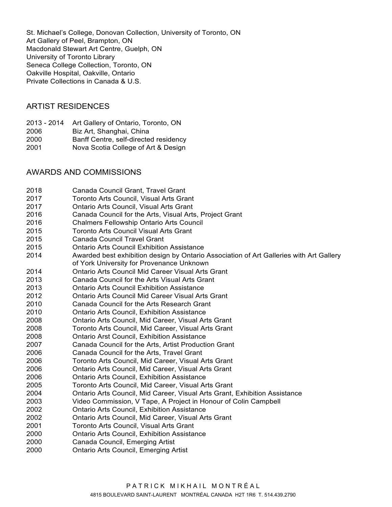St. Michael's College, Donovan Collection, University of Toronto, ON Art Gallery of Peel, Brampton, ON Macdonald Stewart Art Centre, Guelph, ON University of Toronto Library Seneca College Collection, Toronto, ON Oakville Hospital, Oakville, Ontario Private Collections in Canada & U.S.

## ARTIST RESIDENCES

- 2013 2014 Art Gallery of Ontario, Toronto, ON
- 2006 Biz Art, Shanghai, China
- 2000 Banff Centre, self-directed residency
- 2001 Nova Scotia College of Art & Design

## AWARDS AND COMMISSIONS

| 2018 | Canada Council Grant, Travel Grant                                                      |
|------|-----------------------------------------------------------------------------------------|
| 2017 | Toronto Arts Council, Visual Arts Grant                                                 |
| 2017 | Ontario Arts Council, Visual Arts Grant                                                 |
| 2016 | Canada Council for the Arts, Visual Arts, Project Grant                                 |
| 2016 | <b>Chalmers Fellowship Ontario Arts Council</b>                                         |
| 2015 | <b>Toronto Arts Council Visual Arts Grant</b>                                           |
| 2015 | <b>Canada Council Travel Grant</b>                                                      |
| 2015 | <b>Ontario Arts Council Exhibition Assistance</b>                                       |
| 2014 | Awarded best exhibition design by Ontario Association of Art Galleries with Art Gallery |
|      | of York University for Provenance Unknown                                               |
| 2014 | <b>Ontario Arts Council Mid Career Visual Arts Grant</b>                                |
| 2013 | Canada Council for the Arts Visual Arts Grant                                           |
| 2013 | <b>Ontario Arts Council Exhibition Assistance</b>                                       |
| 2012 | Ontario Arts Council Mid Career Visual Arts Grant                                       |
| 2010 | Canada Council for the Arts Research Grant                                              |
| 2010 | <b>Ontario Arts Council, Exhibition Assistance</b>                                      |
| 2008 | Ontario Arts Council, Mid Career, Visual Arts Grant                                     |
| 2008 | Toronto Arts Council, Mid Career, Visual Arts Grant                                     |
| 2008 | <b>Ontario Arst Council, Exhibition Assistance</b>                                      |
| 2007 | Canada Council for the Arts, Artist Production Grant                                    |
| 2006 | Canada Council for the Arts, Travel Grant                                               |
| 2006 | Toronto Arts Council, Mid Career, Visual Arts Grant                                     |
| 2006 | Ontario Arts Council, Mid Career, Visual Arts Grant                                     |
| 2006 | <b>Ontario Arts Council, Exhibition Assistance</b>                                      |
| 2005 | Toronto Arts Council, Mid Career, Visual Arts Grant                                     |
| 2004 | Ontario Arts Council, Mid Career, Visual Arts Grant, Exhibition Assistance              |
| 2003 | Video Commission, V Tape, A Project in Honour of Colin Campbell                         |
| 2002 | <b>Ontario Arts Council, Exhibition Assistance</b>                                      |
| 2002 | Ontario Arts Council, Mid Career, Visual Arts Grant                                     |
| 2001 | Toronto Arts Council, Visual Arts Grant                                                 |
| 2000 | <b>Ontario Arts Council, Exhibition Assistance</b>                                      |
| 2000 | Canada Council, Emerging Artist                                                         |
| 2000 | Ontario Arts Council, Emerging Artist                                                   |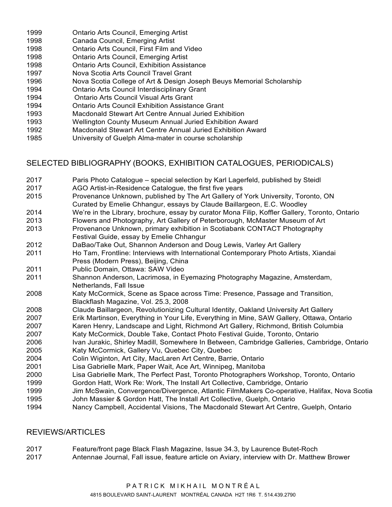- 1999 Ontario Arts Council, Emerging Artist
- 1998 Canada Council, Emerging Artist
- 1998 Ontario Arts Council, First Film and Video
- 1998 Ontario Arts Council, Emerging Artist
- 1998 Ontario Arts Council, Exhibition Assistance
- 1997 Nova Scotia Arts Council Travel Grant
- 1996 Nova Scotia College of Art & Design Joseph Beuys Memorial Scholarship
- 1994 Ontario Arts Council Interdisciplinary Grant
- 1994 Ontario Arts Council Visual Arts Grant
- 1994 Ontario Arts Council Exhibition Assistance Grant
- 1993 Macdonald Stewart Art Centre Annual Juried Exhibition
- 1993 Wellington County Museum Annual Juried Exhibition Award
- 1992 Macdonald Stewart Art Centre Annual Juried Exhibition Award
- 1985 University of Guelph Alma-mater in course scholarship

# SELECTED BIBLIOGRAPHY (BOOKS, EXHIBITION CATALOGUES, PERIODICALS)

- 2017 Paris Photo Catalogue special selection by Karl Lagerfeld, published by Steidl
- 2017 AGO Artist-in-Residence Catalogue, the first five years
- 2015 Provenance Unknown, published by The Art Gallery of York University, Toronto, ON Curated by Emelie Chhangur, essays by Claude Baillargeon, E.C. Woodley
- 2014 We're in the Library, brochure, essay by curator Mona Filip, Koffler Gallery, Toronto, Ontario
- 2013 Flowers and Photography, Art Gallery of Peterborough, McMaster Museum of Art
- 2013 Provenance Unknown, primary exhibition in Scotiabank CONTACT Photography Festival Guide, essay by Emelie Chhangur
- 2012 DaBao/Take Out, Shannon Anderson and Doug Lewis, Varley Art Gallery
- 2011 Ho Tam, Frontline: Interviews with International Contemporary Photo Artists, Xiandai Press (Modern Press), Beijing, China
- 2011 Public Domain, Ottawa: SAW Video
- 2011 Shannon Anderson, Lacrimosa, in Eyemazing Photography Magazine, Amsterdam, Netherlands, Fall Issue
- 2008 Katy McCormick, Scene as Space across Time: Presence, Passage and Transition, Blackflash Magazine, Vol. 25.3, 2008
- 2008 Claude Baillargeon, Revolutionizing Cultural Identity, Oakland University Art Gallery
- 2007 Erik Martinson, Everything in Your Life, Everything in Mine, SAW Gallery, Ottawa, Ontario
- 2007 Karen Henry, Landscape and Light, Richmond Art Gallery, Richmond, British Columbia
- 2007 Katy McCormick, Double Take, Contact Photo Festival Guide, Toronto, Ontario
- 2006 Ivan Jurakic, Shirley Madill, Somewhere In Between, Cambridge Galleries, Cambridge, Ontario 2005 Katy McCormick, Gallery Vu, Quebec City, Quebec
- 2004 Colin Wiginton, Art City, MacLaren Art Centre, Barrie, Ontario
- 2001 Lisa Gabrielle Mark, Paper Wait, Ace Art, Winnipeg, Manitoba
- 2000 Lisa Gabrielle Mark, The Perfect Past, Toronto Photographers Workshop, Toronto, Ontario
- 1999 Gordon Hatt, Work Re: Work, The Install Art Collective, Cambridge, Ontario
- 1999 Jim McSwain, Convergence/Divergence, Atlantic FilmMakers Co-operative, Halifax, Nova Scotia
- 1995 John Massier & Gordon Hatt, The Install Art Collective, Guelph, Ontario
- 1994 Nancy Campbell, Accidental Visions, The Macdonald Stewart Art Centre, Guelph, Ontario

# REVIEWS/ARTICLES

- 2017 Feature/front page Black Flash Magazine, Issue 34.3, by Laurence Butet-Roch
- 2017 Antennae Journal, Fall issue, feature article on Aviary, interview with Dr. Matthew Brower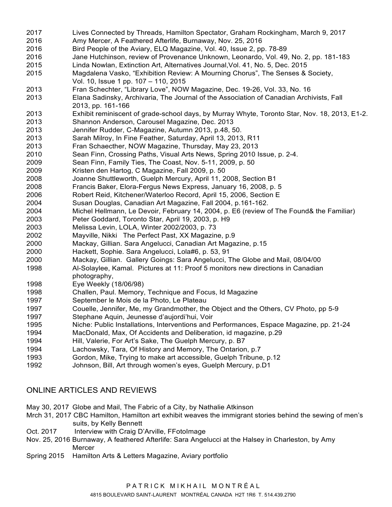2017 Lives Connected by Threads, Hamilton Spectator, Graham Rockingham, March 9, 2017 2016 Amy Mercer, A Feathered Afterlife, Burnaway, Nov. 25, 2016 2016 Bird People of the Aviary, ELQ Magazine, Vol. 40, Issue 2, pp. 78-89 2016 Jane Hutchinson, review of Provenance Unknown, Leonardo, Vol. 49, No. 2, pp. 181-183 2015 Linda Nowlan, Extinction Art, Alternatives Journal,Vol. 41, No. 5, Dec. 2015 2015 Magdalena Vasko, "Exhibition Review: A Mourning Chorus", The Senses & Society, Vol. 10, Issue 1 pp. 107 – 110, 2015 2013 Fran Schechter, "Library Love", NOW Magazine, Dec. 19-26, Vol. 33, No. 16 2013 Elana Sadinsky, Archivaria, The Journal of the Association of Canadian Archivists, Fall 2013, pp. 161-166 2013 Exhibit reminiscent of grade-school days, by Murray Whyte, Toronto Star, Nov. 18, 2013, E1-2. 2013 Shannon Anderson, Carousel Magazine, Dec. 2013 2013 Jennifer Rudder, C-Magazine, Autumn 2013, p.48, 50. 2013 Sarah Milroy, In Fine Feather, Saturday, April 13, 2013, R11 2013 Fran Schaecther, NOW Magazine, Thursday, May 23, 2013 2010 Sean Finn, Crossing Paths, Visual Arts News, Spring 2010 Issue, p. 2-4. 2009 Sean Finn, Family Ties, The Coast, Nov. 5-11, 2009, p. 50 2009 Kristen den Hartog, C Magazine, Fall 2009, p. 50 2008 Joanne Shuttleworth, Guelph Mercury, April 11, 2008, Section B1 2008 Francis Baker, Elora-Fergus News Express, January 16, 2008, p. 5 2006 Robert Reid, Kitchener/Waterloo Record, April 15, 2006, Section E 2004 Susan Douglas, Canadian Art Magazine, Fall 2004, p.161-162. 2004 Michel Hellmann, Le Devoir, February 14, 2004, p. E6 (review of The Found& the Familiar) 2003 Peter Goddard, Toronto Star, April 19, 2003, p. H9 2003 Melissa Levin, LOLA, Winter 2002/2003, p. 73 2002 Mayville, Nikki The Perfect Past, XX Magazine, p.9 2000 Mackay, Gillian. Sara Angelucci, Canadian Art Magazine, p.15 2000 Hackett, Sophie. Sara Angelucci, Lola#6, p. 53, 91 2000 Mackay, Gillian. Gallery Goings: Sara Angelucci, The Globe and Mail, 08/04/00 1998 Al-Solaylee, Kamal. Pictures at 11: Proof 5 monitors new directions in Canadian photography, 1998 Eye Weekly (18/06/98) 1998 Challen, Paul. Memory, Technique and Focus, Id Magazine 1997 September le Mois de la Photo, Le Plateau 1997 Couelle, Jennifer, Me, my Grandmother, the Object and the Others, CV Photo, pp 5-9 1997 Stephane Aquin, Jeunesse d'aujordi'hui, Voir 1995 Niche: Public Installations, Interventions and Performances, Espace Magazine, pp. 21-24 1994 MacDonald, Max, Of Accidents and Deliberation, id magazine, p.29 1994 Hill, Valerie, For Art's Sake, The Guelph Mercury, p. B7 1994 Lachowsky, Tara, Of History and Memory, The Ontarion, p.7 1993 Gordon, Mike, Trying to make art accessible, Guelph Tribune, p.12 1992 Johnson, Bill, Art through women's eyes, Guelph Mercury, p.D1

## ONLINE ARTICLES AND REVIEWS

May 30, 2017 Globe and Mail, The Fabric of a City, by Nathalie Atkinson

- Mrch 31, 2017 CBC Hamilton, Hamilton art exhibit weaves the immigrant stories behind the sewing of men's suits, by Kelly Bennett
- Oct. 2017 Interview with Craig D'Arville, FFotoImage
- Nov. 25, 2016 Burnaway, A feathered Afterlife: Sara Angelucci at the Halsey in Charleston, by Amy Mercer
- Spring 2015 Hamilton Arts & Letters Magazine, Aviary portfolio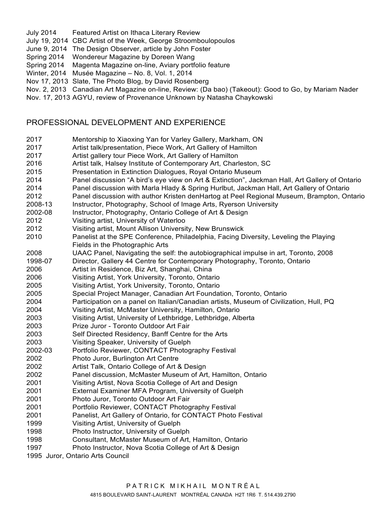- July 2014 Featured Artist on Ithaca Literary Review
- July 19, 2014 CBC Artist of the Week, George Stroomboulopoulos
- June 9, 2014 The Design Observer, article by John Foster
- Spring 2014 Wondereur Magazine by Doreen Wang
- Spring 2014 Magenta Magazine on-line, Aviary portfolio feature
- Winter, 2014 Musée Magazine No. 8, Vol. 1, 2014
- Nov 17, 2013 Slate, The Photo Blog, by David Rosenberg

Nov. 2, 2013 Canadian Art Magazine on-line, Review: (Da bao) (Takeout): Good to Go, by Mariam Nader

Nov. 17, 2013 AGYU, review of Provenance Unknown by Natasha Chaykowski

## PROFESSIONAL DEVELOPMENT AND EXPERIENCE

- 2017 Mentorship to Xiaoxing Yan for Varley Gallery, Markham, ON
- 2017 Artist talk/presentation, Piece Work, Art Gallery of Hamilton
- 2017 Artist gallery tour Piece Work, Art Gallery of Hamilton
- 2016 Artist talk, Halsey Institute of Contemporary Art, Charleston, SC
- 2015 Presentation in Extinction Dialogues, Royal Ontario Museum
- 2014 Panel discussion "A bird's eye view on Art & Extinction", Jackman Hall, Art Gallery of Ontario
- 2014 Panel discussion with Marla Hlady & Spring Hurlbut, Jackman Hall, Art Gallery of Ontario
- 2012 Panel discussion with author Kristen denHartog at Peel Regional Museum, Brampton, Ontario
- 2008-13 Instructor, Photography, School of Image Arts, Ryerson University
- 2002-08 Instructor, Photography, Ontario College of Art & Design
- 2012 Visiting artist, University of Waterloo
- 2012 Visiting artist, Mount Allison University, New Brunswick
- 2010 Panelist at the SPE Conference, Philadelphia, Facing Diversity, Leveling the Playing Fields in the Photographic Arts
- 2008 UAAC Panel, Navigating the self: the autobiographical impulse in art, Toronto, 2008
- 1998-07 Director, Gallery 44 Centre for Contemporary Photography, Toronto, Ontario
- 2006 Artist in Residence, Biz Art, Shanghai, China
- 2006 Visiting Artist, York University, Toronto, Ontario
- 2005 Visiting Artist, York University, Toronto, Ontario
- 2005 Special Project Manager, Canadian Art Foundation, Toronto, Ontario
- 2004 Participation on a panel on Italian/Canadian artists, Museum of Civilization, Hull, PQ
- 2004 Visiting Artist, McMaster University, Hamilton, Ontario
- 2003 Visiting Artist, University of Lethbridge, Lethbridge, Alberta
- 2003 Prize Juror Toronto Outdoor Art Fair
- 2003 Self Directed Residency, Banff Centre for the Arts
- 2003 Visiting Speaker, University of Guelph
- 2002-03 Portfolio Reviewer, CONTACT Photography Festival
- 2002 Photo Juror, Burlington Art Centre
- 2002 Artist Talk, Ontario College of Art & Design
- 2002 Panel discussion, McMaster Museum of Art, Hamilton, Ontario
- 2001 Visiting Artist, Nova Scotia College of Art and Design
- 2001 External Examiner MFA Program, University of Guelph
- 2001 Photo Juror, Toronto Outdoor Art Fair
- 2001 Portfolio Reviewer, CONTACT Photography Festival
- 2001 Panelist, Art Gallery of Ontario, for CONTACT Photo Festival
- 1999 Visiting Artist, University of Guelph
- 1998 Photo Instructor, University of Guelph
- 1998 Consultant, McMaster Museum of Art, Hamilton, Ontario
- 1997 Photo Instructor, Nova Scotia College of Art & Design
- 1995 Juror, Ontario Arts Council